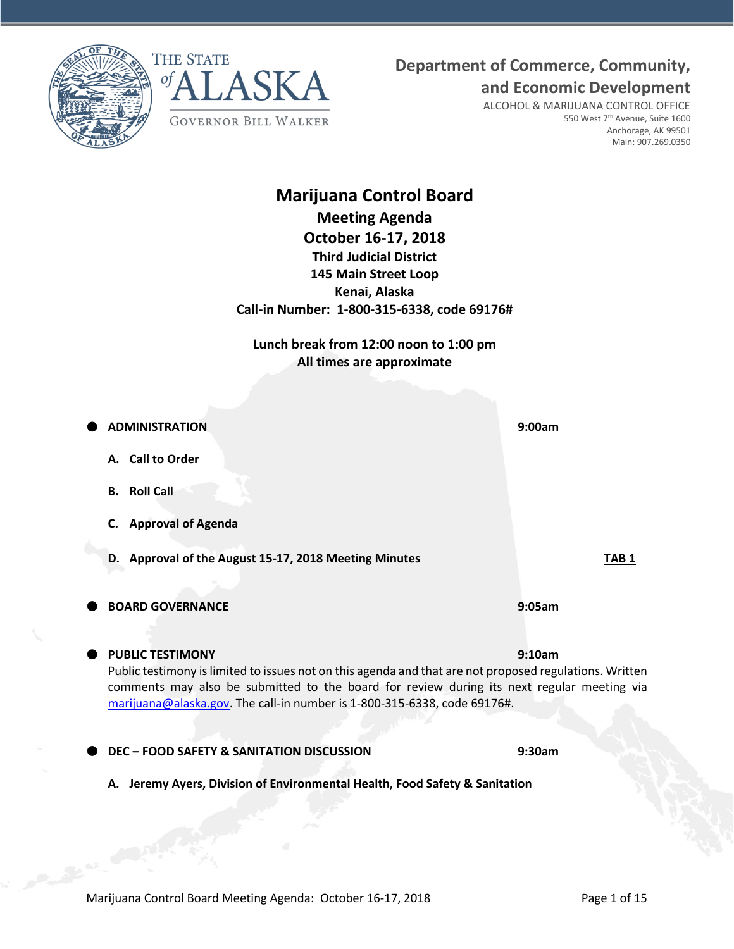



# **Department of Commerce, Community,**

**and Economic Development**

ALCOHOL & MARIJUANA CONTROL OFFICE 550 West 7<sup>th</sup> Avenue, Suite 1600 Anchorage, AK 99501 Main: 907.269.0350

# **Marijuana Control Board Meeting Agenda October 16-17, 2018 Third Judicial District 145 Main Street Loop Kenai, Alaska Call-in Number: 1-800-315-6338, code 69176#**

**Lunch break from 12:00 noon to 1:00 pm All times are approximate**

| <b>ADMINISTRATION</b>                                                                                                                                                                                                                                                             | 9:00am           |
|-----------------------------------------------------------------------------------------------------------------------------------------------------------------------------------------------------------------------------------------------------------------------------------|------------------|
| A. Call to Order                                                                                                                                                                                                                                                                  |                  |
| <b>Roll Call</b><br>В.                                                                                                                                                                                                                                                            |                  |
| <b>Approval of Agenda</b><br>C.                                                                                                                                                                                                                                                   |                  |
| Approval of the August 15-17, 2018 Meeting Minutes<br>D.                                                                                                                                                                                                                          | TAB <sub>1</sub> |
| <b>BOARD GOVERNANCE</b>                                                                                                                                                                                                                                                           | 9:05am           |
| <b>PUBLIC TESTIMONY</b>                                                                                                                                                                                                                                                           | 9:10am           |
| Public testimony is limited to issues not on this agenda and that are not proposed regulations. Written<br>comments may also be submitted to the board for review during its next regular meeting via<br>marijuana@alaska.gov. The call-in number is 1-800-315-6338, code 69176#. |                  |
| <b>DEC - FOOD SAFETY &amp; SANITATION DISCUSSION</b>                                                                                                                                                                                                                              | 9:30am           |
| Jeremy Ayers, Division of Environmental Health, Food Safety & Sanitation<br>А.                                                                                                                                                                                                    |                  |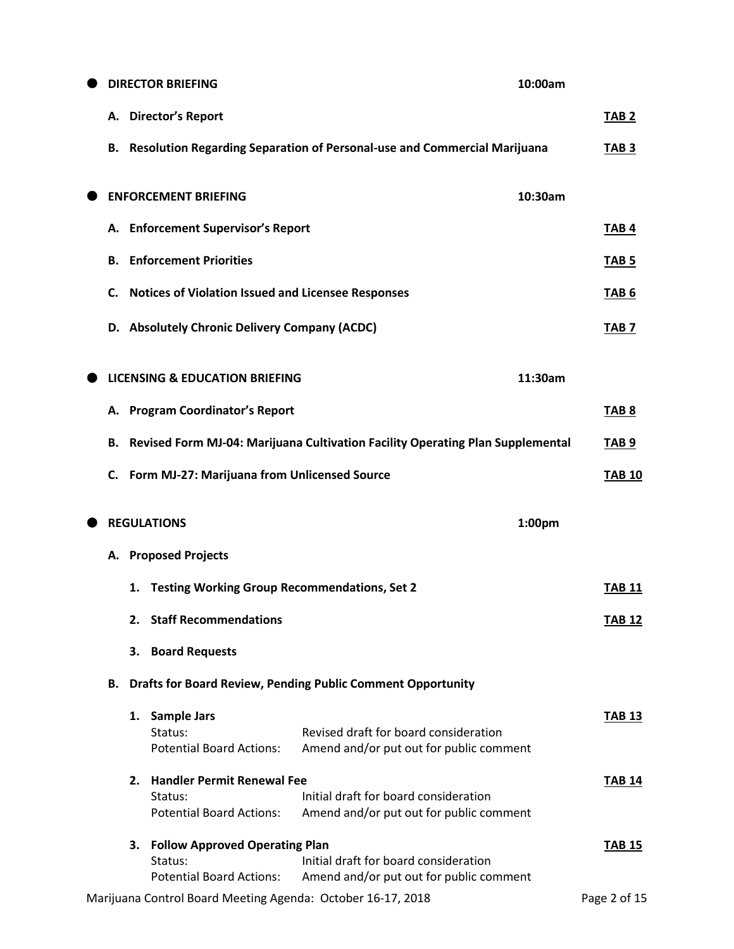|    |    | <b>DIRECTOR BRIEFING</b>                                  | 10:00am                                                                          |                  |
|----|----|-----------------------------------------------------------|----------------------------------------------------------------------------------|------------------|
|    |    | A. Director's Report                                      |                                                                                  | TAB <sub>2</sub> |
| В. |    |                                                           | <b>Resolution Regarding Separation of Personal-use and Commercial Marijuana</b>  | TAB <sub>3</sub> |
|    |    | <b>ENFORCEMENT BRIEFING</b>                               | 10:30am                                                                          |                  |
|    |    | A. Enforcement Supervisor's Report                        |                                                                                  | TAB <sub>4</sub> |
| В. |    | <b>Enforcement Priorities</b>                             |                                                                                  | TAB <sub>5</sub> |
| C. |    | <b>Notices of Violation Issued and Licensee Responses</b> |                                                                                  | TAB <sub>6</sub> |
| D. |    | <b>Absolutely Chronic Delivery Company (ACDC)</b>         |                                                                                  | TAB <sub>7</sub> |
|    |    | <b>LICENSING &amp; EDUCATION BRIEFING</b>                 | 11:30am                                                                          |                  |
|    |    | A. Program Coordinator's Report                           |                                                                                  | TAB <sub>8</sub> |
| В. |    |                                                           | Revised Form MJ-04: Marijuana Cultivation Facility Operating Plan Supplemental   | TAB <sub>9</sub> |
| C. |    | Form MJ-27: Marijuana from Unlicensed Source              |                                                                                  | <b>TAB 10</b>    |
|    |    | <b>REGULATIONS</b>                                        | 1:00pm                                                                           |                  |
| А. |    | <b>Proposed Projects</b>                                  |                                                                                  |                  |
|    | 1. | <b>Testing Working Group Recommendations, Set 2</b>       |                                                                                  | <b>TAB 11</b>    |
|    | 2. | <b>Staff Recommendations</b>                              |                                                                                  | <b>TAB 12</b>    |
|    | 3. | <b>Board Requests</b>                                     |                                                                                  |                  |
| В. |    |                                                           | <b>Drafts for Board Review, Pending Public Comment Opportunity</b>               |                  |
|    |    | 1. Sample Jars                                            |                                                                                  | <b>TAB 13</b>    |
|    |    | Status:                                                   | Revised draft for board consideration                                            |                  |
|    |    | <b>Potential Board Actions:</b>                           | Amend and/or put out for public comment                                          |                  |
|    | 2. | <b>Handler Permit Renewal Fee</b>                         |                                                                                  | <b>TAB 14</b>    |
|    |    | Status:                                                   | Initial draft for board consideration<br>Amend and/or put out for public comment |                  |
|    |    |                                                           |                                                                                  |                  |
|    |    | <b>Potential Board Actions:</b>                           |                                                                                  |                  |
|    |    | 3. Follow Approved Operating Plan                         |                                                                                  | <b>TAB 15</b>    |
|    |    | Status:<br><b>Potential Board Actions:</b>                | Initial draft for board consideration<br>Amend and/or put out for public comment |                  |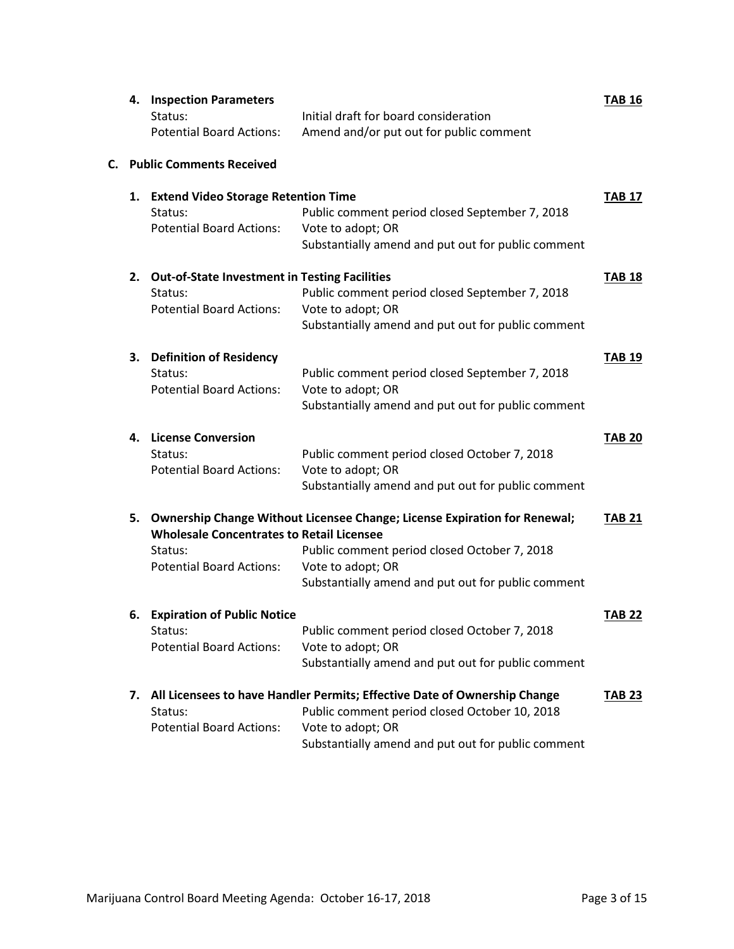|    | 4. | <b>Inspection Parameters</b>                         |                                                                           | <b>TAB 16</b> |
|----|----|------------------------------------------------------|---------------------------------------------------------------------------|---------------|
|    |    | Status:                                              | Initial draft for board consideration                                     |               |
|    |    | <b>Potential Board Actions:</b>                      | Amend and/or put out for public comment                                   |               |
| С. |    | <b>Public Comments Received</b>                      |                                                                           |               |
|    | 1. | <b>Extend Video Storage Retention Time</b>           |                                                                           | <b>TAB 17</b> |
|    |    | Status:                                              | Public comment period closed September 7, 2018                            |               |
|    |    | <b>Potential Board Actions:</b>                      | Vote to adopt; OR<br>Substantially amend and put out for public comment   |               |
|    |    |                                                      |                                                                           |               |
|    | 2. | <b>Out-of-State Investment in Testing Facilities</b> |                                                                           | <b>TAB 18</b> |
|    |    | Status:                                              | Public comment period closed September 7, 2018                            |               |
|    |    | <b>Potential Board Actions:</b>                      | Vote to adopt; OR<br>Substantially amend and put out for public comment   |               |
|    |    |                                                      |                                                                           |               |
|    | З. | <b>Definition of Residency</b>                       |                                                                           | <b>TAB 19</b> |
|    |    | Status:                                              | Public comment period closed September 7, 2018                            |               |
|    |    | <b>Potential Board Actions:</b>                      | Vote to adopt; OR                                                         |               |
|    |    |                                                      | Substantially amend and put out for public comment                        |               |
|    | 4. | <b>License Conversion</b>                            |                                                                           | <b>TAB 20</b> |
|    |    | Status:                                              | Public comment period closed October 7, 2018                              |               |
|    |    | <b>Potential Board Actions:</b>                      | Vote to adopt; OR                                                         |               |
|    |    |                                                      | Substantially amend and put out for public comment                        |               |
|    | 5. |                                                      | Ownership Change Without Licensee Change; License Expiration for Renewal; | <b>TAB 21</b> |
|    |    | <b>Wholesale Concentrates to Retail Licensee</b>     |                                                                           |               |
|    |    | Status:                                              | Public comment period closed October 7, 2018                              |               |
|    |    | <b>Potential Board Actions:</b>                      | Vote to adopt; OR<br>Substantially amend and put out for public comment   |               |
|    |    |                                                      |                                                                           |               |
|    | 6. | <b>Expiration of Public Notice</b>                   |                                                                           | <b>TAB 22</b> |
|    |    | Status:                                              | Public comment period closed October 7, 2018                              |               |
|    |    | <b>Potential Board Actions:</b>                      | Vote to adopt; OR                                                         |               |
|    |    |                                                      | Substantially amend and put out for public comment                        |               |
|    | 7. |                                                      | All Licensees to have Handler Permits; Effective Date of Ownership Change | <b>TAB 23</b> |
|    |    | Status:                                              | Public comment period closed October 10, 2018                             |               |
|    |    | <b>Potential Board Actions:</b>                      | Vote to adopt; OR                                                         |               |
|    |    |                                                      | Substantially amend and put out for public comment                        |               |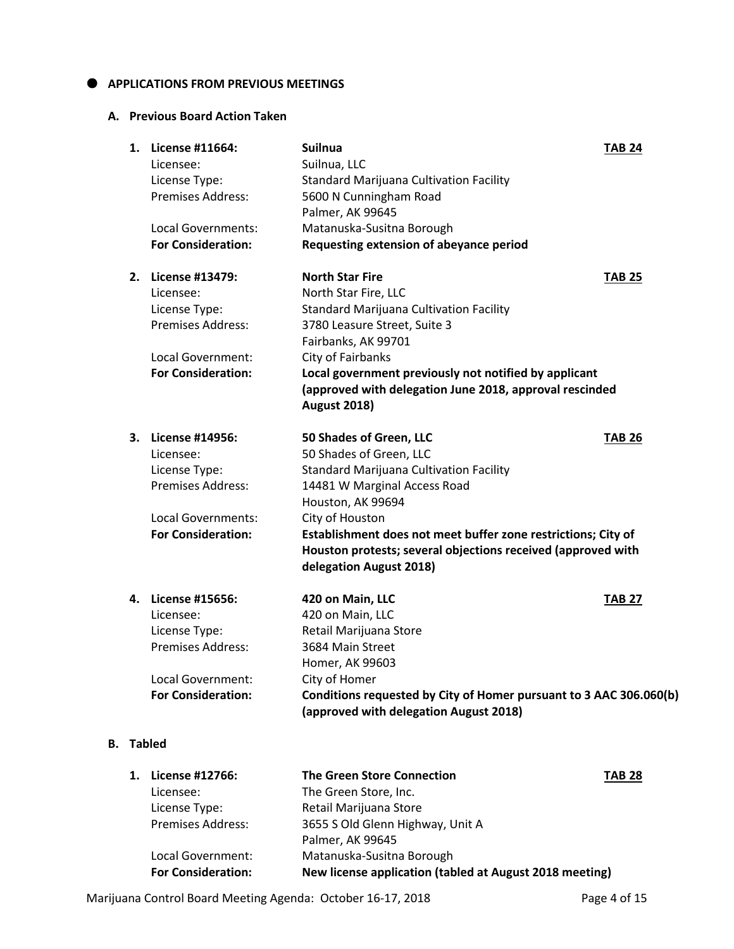#### $\bullet$  APPLICATIONS FROM PREVIOUS MEETINGS

### **A. Previous Board Action Taken**

| 1. | License #11664:<br>Licensee:<br>License Type:<br>Premises Address:                                                    | <b>Suilnua</b><br>Suilnua, LLC<br><b>Standard Marijuana Cultivation Facility</b><br>5600 N Cunningham Road<br>Palmer, AK 99645                                                                                                                                                                                                           | <b>TAB 24</b> |
|----|-----------------------------------------------------------------------------------------------------------------------|------------------------------------------------------------------------------------------------------------------------------------------------------------------------------------------------------------------------------------------------------------------------------------------------------------------------------------------|---------------|
|    | Local Governments:<br><b>For Consideration:</b>                                                                       | Matanuska-Susitna Borough<br>Requesting extension of abeyance period                                                                                                                                                                                                                                                                     |               |
| 2. | <b>License #13479:</b><br>Licensee:<br>License Type:<br>Premises Address:                                             | <b>North Star Fire</b><br>North Star Fire, LLC<br><b>Standard Marijuana Cultivation Facility</b><br>3780 Leasure Street, Suite 3<br>Fairbanks, AK 99701                                                                                                                                                                                  | <b>TAB 25</b> |
|    | Local Government:<br><b>For Consideration:</b>                                                                        | City of Fairbanks<br>Local government previously not notified by applicant<br>(approved with delegation June 2018, approval rescinded<br><b>August 2018)</b>                                                                                                                                                                             |               |
| 3. | License #14956:<br>Licensee:<br>License Type:<br>Premises Address:<br>Local Governments:<br><b>For Consideration:</b> | 50 Shades of Green, LLC<br>50 Shades of Green, LLC<br><b>Standard Marijuana Cultivation Facility</b><br>14481 W Marginal Access Road<br>Houston, AK 99694<br>City of Houston<br>Establishment does not meet buffer zone restrictions; City of<br>Houston protests; several objections received (approved with<br>delegation August 2018) | <b>TAB 26</b> |
| 4. | License #15656:<br>Licensee:<br>License Type:<br>Premises Address:                                                    | 420 on Main, LLC<br>420 on Main, LLC<br>Retail Marijuana Store<br>3684 Main Street<br>Homer, AK 99603                                                                                                                                                                                                                                    | <b>TAB 27</b> |
|    | Local Government:<br><b>For Consideration:</b>                                                                        | City of Homer<br>Conditions requested by City of Homer pursuant to 3 AAC 306.060(b)<br>(approved with delegation August 2018)                                                                                                                                                                                                            |               |
|    | Tabled                                                                                                                |                                                                                                                                                                                                                                                                                                                                          |               |

| 1. | License #12766:           | <b>The Green Store Connection</b>                       | <b>TAB 28</b> |
|----|---------------------------|---------------------------------------------------------|---------------|
|    | Licensee:                 | The Green Store, Inc.                                   |               |
|    | License Type:             | Retail Marijuana Store                                  |               |
|    | <b>Premises Address:</b>  | 3655 S Old Glenn Highway, Unit A                        |               |
|    |                           | Palmer, AK 99645                                        |               |
|    | Local Government:         | Matanuska-Susitna Borough                               |               |
|    | <b>For Consideration:</b> | New license application (tabled at August 2018 meeting) |               |

Marijuana Control Board Meeting Agenda: October 16-17, 2018 **Page 4 of 15** 

**B. Tabled**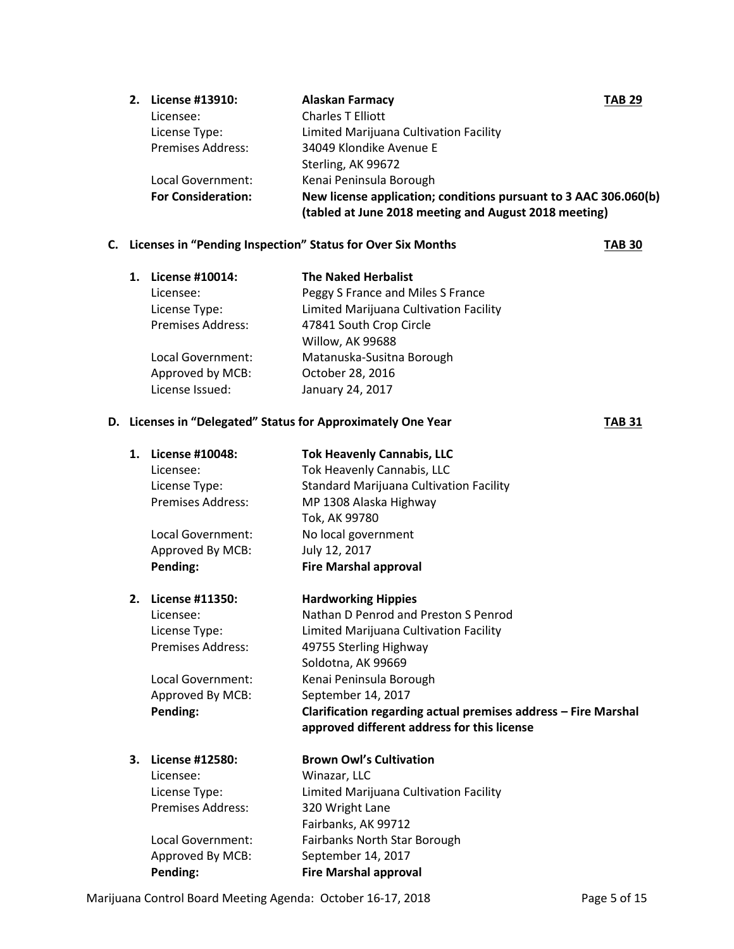| 2. License #13910:        | <b>Alaskan Farmacy</b><br><b>TAB 29</b>                          |  |
|---------------------------|------------------------------------------------------------------|--|
| Licensee:                 | <b>Charles T Elliott</b>                                         |  |
| License Type:             | Limited Marijuana Cultivation Facility                           |  |
| <b>Premises Address:</b>  | 34049 Klondike Avenue E                                          |  |
|                           | Sterling, AK 99672                                               |  |
| Local Government:         | Kenai Peninsula Borough                                          |  |
| <b>For Consideration:</b> | New license application; conditions pursuant to 3 AAC 306.060(b) |  |
|                           | (tabled at June 2018 meeting and August 2018 meeting)            |  |

#### **C. Licenses in "Pending Inspection" Status for Over Six Months TAB 30**

| 1. | License #10014:          | <b>The Naked Herbalist</b>             |
|----|--------------------------|----------------------------------------|
|    | Licensee:                | Peggy S France and Miles S France      |
|    | License Type:            | Limited Marijuana Cultivation Facility |
|    | <b>Premises Address:</b> | 47841 South Crop Circle                |
|    |                          | Willow, AK 99688                       |
|    | Local Government:        | Matanuska-Susitna Borough              |
|    | Approved by MCB:         | October 28, 2016                       |
|    | License Issued:          | January 24, 2017                       |
|    |                          |                                        |

#### **D. Licenses in "Delegated" Status for Approximately One Year TAB 31**

**1. License #10048: Tok Heavenly Cannabis, LLC** Licensee: Tok Heavenly Cannabis, LLC License Type: Standard Marijuana Cultivation Facility Premises Address: MP 1308 Alaska Highway Tok, AK 99780 Local Government: No local government Approved By MCB: July 12, 2017 **Pending: Fire Marshal approval 2. License #11350: Hardworking Hippies** Licensee: Nathan D Penrod and Preston S Penrod License Type: Limited Marijuana Cultivation Facility Premises Address: 49755 Sterling Highway Soldotna, AK 99669 Local Government: Kenai Peninsula Borough Approved By MCB: September 14, 2017 **Pending: Clarification regarding actual premises address – Fire Marshal approved different address for this license 3. License #12580: Brown Owl's Cultivation** Licensee: Winazar, LLC License Type: Limited Marijuana Cultivation Facility Premises Address: 320 Wright Lane Fairbanks, AK 99712 Local Government: Fairbanks North Star Borough Approved By MCB: September 14, 2017 **Pending: Fire Marshal approval**

Marijuana Control Board Meeting Agenda: October 16-17, 2018 **Page 5 of 15** Page 5 of 15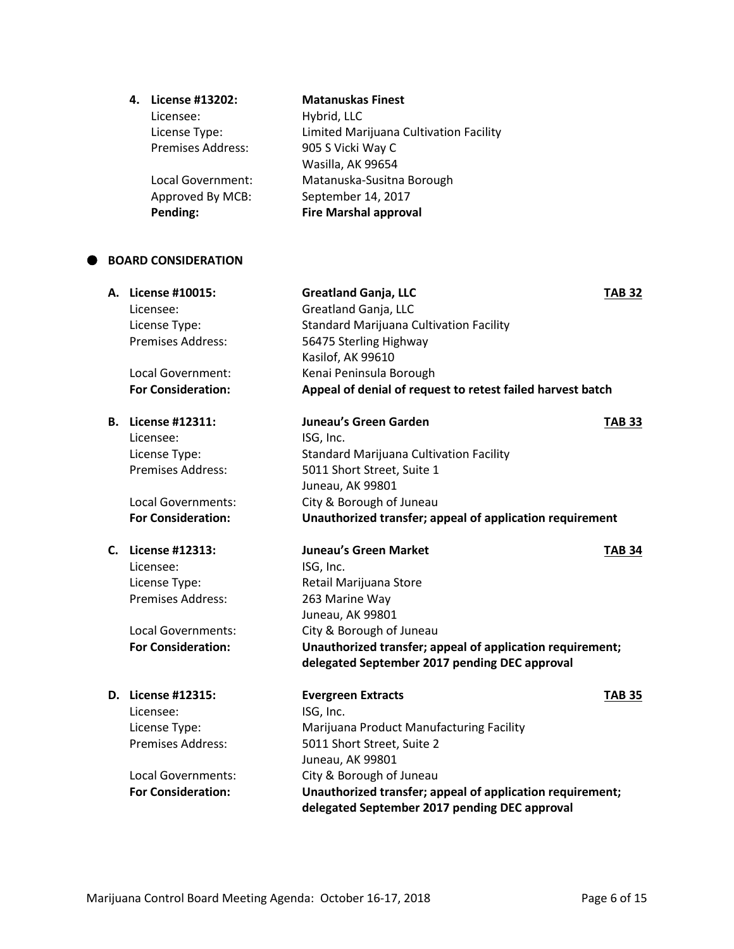#### **4. License #13202: Matanuskas Finest**

Licensee: Hybrid, LLC

License Type: Limited Marijuana Cultivation Facility 905 S Vicki Way C Wasilla, AK 99654 Local Government: Matanuska-Susitna Borough Approved By MCB: September 14, 2017 **Pending: Fire Marshal approval**

#### **BOARD CONSIDERATION**

| А. | License #10015:<br>Licensee:<br>License Type:<br><b>Premises Address:</b><br>Local Government:<br><b>For Consideration:</b> | <b>Greatland Ganja, LLC</b><br>Greatland Ganja, LLC<br><b>Standard Marijuana Cultivation Facility</b><br>56475 Sterling Highway<br>Kasilof, AK 99610<br>Kenai Peninsula Borough<br>Appeal of denial of request to retest failed harvest batch | <b>TAB 32</b> |
|----|-----------------------------------------------------------------------------------------------------------------------------|-----------------------------------------------------------------------------------------------------------------------------------------------------------------------------------------------------------------------------------------------|---------------|
|    | <b>B.</b> License #12311:<br>Licensee:<br>License Type:                                                                     | Juneau's Green Garden<br>ISG, Inc.<br><b>Standard Marijuana Cultivation Facility</b>                                                                                                                                                          | <b>TAB 33</b> |
|    | Premises Address:                                                                                                           | 5011 Short Street, Suite 1<br>Juneau, AK 99801                                                                                                                                                                                                |               |
|    | Local Governments:<br><b>For Consideration:</b>                                                                             | City & Borough of Juneau<br>Unauthorized transfer; appeal of application requirement                                                                                                                                                          |               |
| C. | License #12313:                                                                                                             | <b>Juneau's Green Market</b>                                                                                                                                                                                                                  | <b>TAB 34</b> |
|    | Licensee:                                                                                                                   | ISG, Inc.                                                                                                                                                                                                                                     |               |
|    | License Type:                                                                                                               | Retail Marijuana Store                                                                                                                                                                                                                        |               |
|    | <b>Premises Address:</b>                                                                                                    | 263 Marine Way                                                                                                                                                                                                                                |               |
|    |                                                                                                                             | Juneau, AK 99801                                                                                                                                                                                                                              |               |
|    | <b>Local Governments:</b>                                                                                                   | City & Borough of Juneau                                                                                                                                                                                                                      |               |
|    | <b>For Consideration:</b>                                                                                                   | Unauthorized transfer; appeal of application requirement;                                                                                                                                                                                     |               |
|    |                                                                                                                             | delegated September 2017 pending DEC approval                                                                                                                                                                                                 |               |
|    | D. License #12315:                                                                                                          | <b>Evergreen Extracts</b>                                                                                                                                                                                                                     | <b>TAB 35</b> |
|    | Licensee:                                                                                                                   | ISG, Inc.                                                                                                                                                                                                                                     |               |
|    | License Type:                                                                                                               | Marijuana Product Manufacturing Facility                                                                                                                                                                                                      |               |
|    | <b>Premises Address:</b>                                                                                                    | 5011 Short Street, Suite 2                                                                                                                                                                                                                    |               |
|    |                                                                                                                             | Juneau, AK 99801                                                                                                                                                                                                                              |               |
|    | <b>Local Governments:</b>                                                                                                   | City & Borough of Juneau                                                                                                                                                                                                                      |               |
|    | <b>For Consideration:</b>                                                                                                   | Unauthorized transfer; appeal of application requirement;                                                                                                                                                                                     |               |
|    |                                                                                                                             | delegated September 2017 pending DEC approval                                                                                                                                                                                                 |               |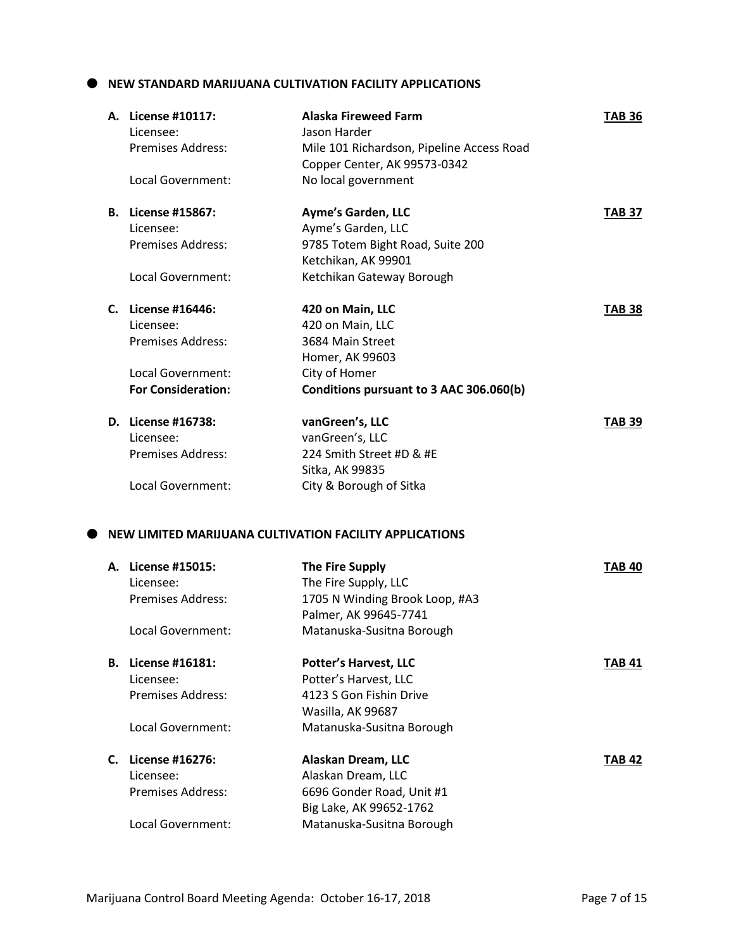#### **NEW STANDARD MARIJUANA CULTIVATION FACILITY APPLICATIONS**

|  | A. License #10117:<br>Licensee: | <b>Alaska Fireweed Farm</b><br>Jason Harder                               | <b>TAB 36</b> |
|--|---------------------------------|---------------------------------------------------------------------------|---------------|
|  | <b>Premises Address:</b>        | Mile 101 Richardson, Pipeline Access Road<br>Copper Center, AK 99573-0342 |               |
|  | Local Government:               | No local government                                                       |               |
|  | <b>B.</b> License #15867:       | <b>Ayme's Garden, LLC</b>                                                 | <b>TAB 37</b> |
|  | Licensee:                       | Ayme's Garden, LLC                                                        |               |
|  | <b>Premises Address:</b>        | 9785 Totem Bight Road, Suite 200                                          |               |
|  |                                 | Ketchikan, AK 99901                                                       |               |
|  | Local Government:               | Ketchikan Gateway Borough                                                 |               |
|  | C. License #16446:              | 420 on Main, LLC                                                          | <b>TAB 38</b> |
|  | Licensee:                       | 420 on Main, LLC                                                          |               |
|  | <b>Premises Address:</b>        | 3684 Main Street                                                          |               |
|  |                                 | Homer, AK 99603                                                           |               |
|  | Local Government:               | City of Homer                                                             |               |
|  | <b>For Consideration:</b>       | Conditions pursuant to 3 AAC 306.060(b)                                   |               |
|  | D. License #16738:              | vanGreen's, LLC                                                           | <b>TAB 39</b> |
|  | Licensee:                       | vanGreen's, LLC                                                           |               |
|  | <b>Premises Address:</b>        | 224 Smith Street #D & #E                                                  |               |
|  |                                 | Sitka, AK 99835                                                           |               |
|  | Local Government:               | City & Borough of Sitka                                                   |               |
|  |                                 |                                                                           |               |
|  |                                 | NEW LIMITED MARIJUANA CULTIVATION FACILITY APPLICATIONS                   |               |
|  | A. License #15015:              | <b>The Fire Supply</b>                                                    | <b>TAB 40</b> |
|  | Licensee:                       | The Fire Supply, LLC                                                      |               |
|  | <b>Premises Address:</b>        | 1705 N Winding Brook Loop, #A3                                            |               |
|  |                                 | Palmer, AK 99645-7741                                                     |               |
|  | Local Government:               | Matanuska-Susitna Borough                                                 |               |
|  | <b>B.</b> License #16181:       | <b>Potter's Harvest, LLC</b>                                              | TAB 41        |
|  | Licensee:                       | Potter's Harvest, LLC                                                     |               |
|  | <b>Premises Address:</b>        | 4123 S Gon Fishin Drive                                                   |               |
|  |                                 | Wasilla, AK 99687                                                         |               |
|  | Local Government:               | Matanuska-Susitna Borough                                                 |               |
|  | C. License #16276:              | Alaskan Dream, LLC                                                        | <b>TAB 42</b> |
|  | Licensee:                       | Alaskan Dream, LLC                                                        |               |
|  | Premises Address:               | 6696 Gonder Road, Unit #1                                                 |               |
|  |                                 | Big Lake, AK 99652-1762                                                   |               |
|  | Local Government:               | Matanuska-Susitna Borough                                                 |               |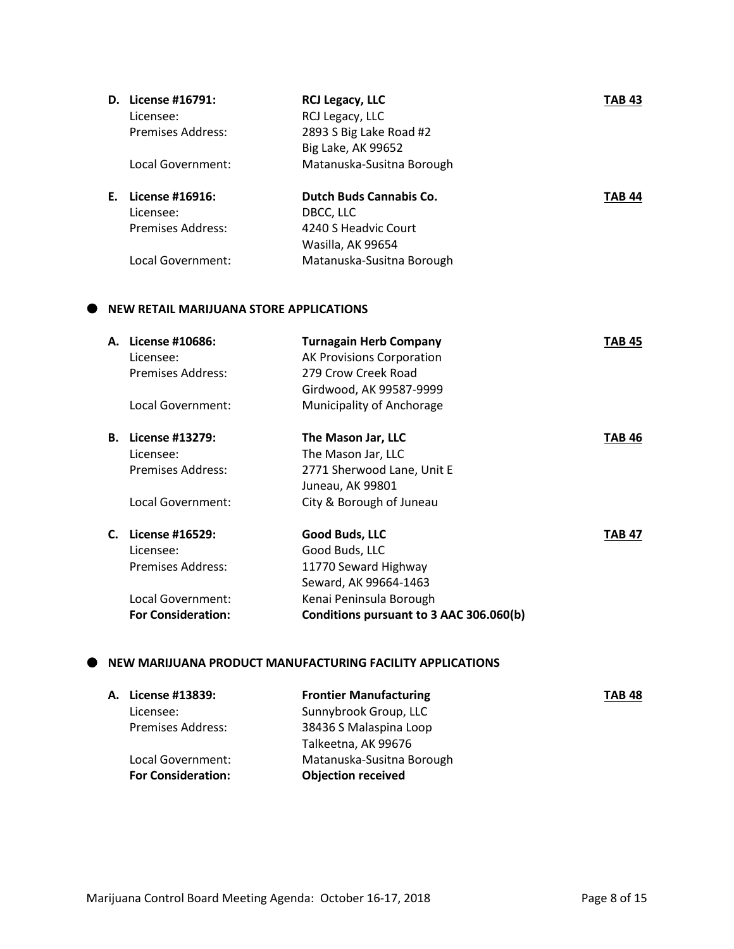|    | D. License #16791: | <b>RCJ Legacy, LLC</b>         | TAB 43        |
|----|--------------------|--------------------------------|---------------|
|    | Licensee:          | RCJ Legacy, LLC                |               |
|    | Premises Address:  | 2893 S Big Lake Road #2        |               |
|    |                    | Big Lake, AK 99652             |               |
|    | Local Government:  | Matanuska-Susitna Borough      |               |
|    |                    |                                |               |
| Е. | License #16916:    | <b>Dutch Buds Cannabis Co.</b> | <b>TAB 44</b> |
|    | Licensee:          | DBCC, LLC                      |               |
|    | Premises Address:  | 4240 S Headvic Court           |               |
|    |                    | Wasilla, AK 99654              |               |
|    | Local Government:  | Matanuska-Susitna Borough      |               |

### **NEW RETAIL MARIJUANA STORE APPLICATIONS**

| А. | License #10686:           | <b>Turnagain Herb Company</b>           | TAB 45 |
|----|---------------------------|-----------------------------------------|--------|
|    | Licensee:                 | <b>AK Provisions Corporation</b>        |        |
|    | Premises Address:         | 279 Crow Creek Road                     |        |
|    |                           | Girdwood, AK 99587-9999                 |        |
|    | Local Government:         | Municipality of Anchorage               |        |
| В. | License #13279:           | The Mason Jar, LLC                      | TAB 46 |
|    | Licensee:                 | The Mason Jar, LLC                      |        |
|    | Premises Address:         | 2771 Sherwood Lane, Unit E              |        |
|    |                           | Juneau, AK 99801                        |        |
|    | Local Government:         | City & Borough of Juneau                |        |
| C. | License #16529:           | Good Buds, LLC                          | TAB 47 |
|    | Licensee:                 | Good Buds, LLC                          |        |
|    | Premises Address:         | 11770 Seward Highway                    |        |
|    |                           | Seward, AK 99664-1463                   |        |
|    | Local Government:         | Kenai Peninsula Borough                 |        |
|    | <b>For Consideration:</b> | Conditions pursuant to 3 AAC 306.060(b) |        |

#### **NEW MARIJUANA PRODUCT MANUFACTURING FACILITY APPLICATIONS**

| A. License #13839:        | <b>Frontier Manufacturing</b> | <b>TAB 48</b> |
|---------------------------|-------------------------------|---------------|
| Licensee:                 | Sunnybrook Group, LLC         |               |
| <b>Premises Address:</b>  | 38436 S Malaspina Loop        |               |
|                           | Talkeetna, AK 99676           |               |
| Local Government:         | Matanuska-Susitna Borough     |               |
| <b>For Consideration:</b> | <b>Objection received</b>     |               |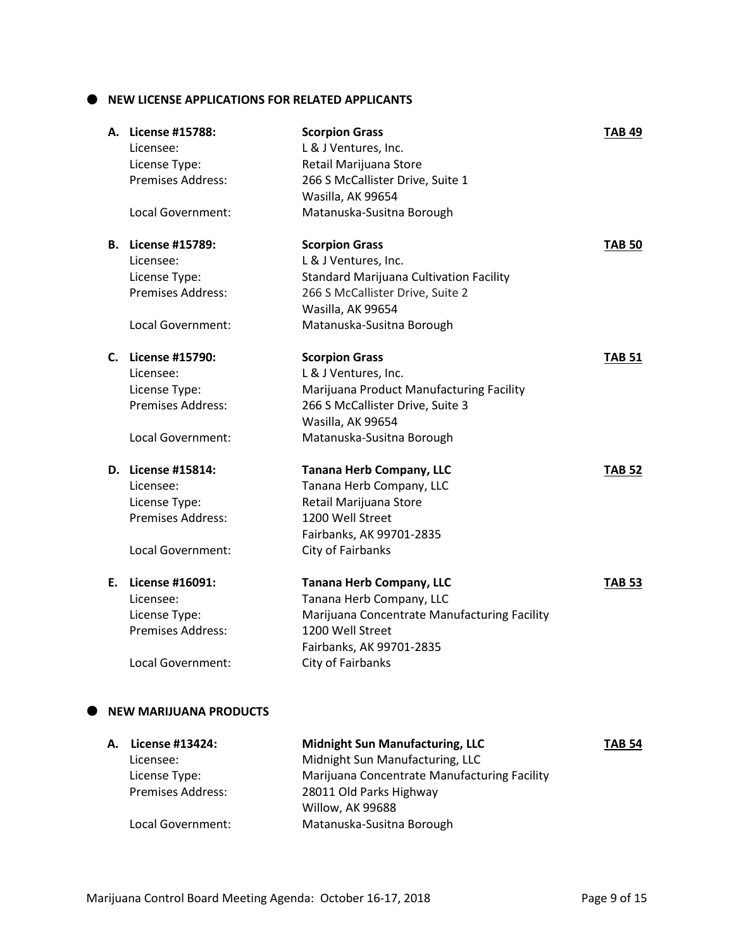$\bullet$  NEW LICENSE APPLICATIONS FOR RELATED APPLICANTS

| A. License #15788:<br>Licensee: | <b>Scorpion Grass</b><br>L & J Ventures, Inc.  | <b>TAB 49</b> |
|---------------------------------|------------------------------------------------|---------------|
| License Type:                   | Retail Marijuana Store                         |               |
| Premises Address:               | 266 S McCallister Drive, Suite 1               |               |
|                                 | Wasilla, AK 99654                              |               |
| Local Government:               | Matanuska-Susitna Borough                      |               |
| <b>B.</b> License #15789:       | <b>Scorpion Grass</b>                          | <b>TAB 50</b> |
| Licensee:                       | L & J Ventures, Inc.                           |               |
| License Type:                   | <b>Standard Marijuana Cultivation Facility</b> |               |
| Premises Address:               | 266 S McCallister Drive, Suite 2               |               |
|                                 | Wasilla, AK 99654                              |               |
| Local Government:               | Matanuska-Susitna Borough                      |               |
| C. License #15790:              | <b>Scorpion Grass</b>                          | <b>TAB 51</b> |
| Licensee:                       | L & J Ventures, Inc.                           |               |
| License Type:                   | Marijuana Product Manufacturing Facility       |               |
| Premises Address:               | 266 S McCallister Drive, Suite 3               |               |
|                                 | Wasilla, AK 99654                              |               |
| Local Government:               | Matanuska-Susitna Borough                      |               |
| D. License #15814:              | <b>Tanana Herb Company, LLC</b>                | <b>TAB 52</b> |
| Licensee:                       | Tanana Herb Company, LLC                       |               |
| License Type:                   | Retail Marijuana Store                         |               |
| Premises Address:               | 1200 Well Street                               |               |
|                                 | Fairbanks, AK 99701-2835                       |               |
| Local Government:               | City of Fairbanks                              |               |
| E. License #16091:              | <b>Tanana Herb Company, LLC</b>                | TAB 53        |
| Licensee:                       | Tanana Herb Company, LLC                       |               |
| License Type:                   | Marijuana Concentrate Manufacturing Facility   |               |
| Premises Address:               | 1200 Well Street                               |               |
|                                 | Fairbanks, AK 99701-2835                       |               |
| Local Government:               | City of Fairbanks                              |               |
| <b>NEW MARIJUANA PRODUCTS</b>   |                                                |               |
| A. License #13424:              | <b>Midnight Sun Manufacturing, LLC</b>         | TAB 54        |

| A. License #13424:       | <b>Midnight Sun Manufacturing, LLC</b>       | <b>TAB 54</b> |
|--------------------------|----------------------------------------------|---------------|
| Licensee:                | Midnight Sun Manufacturing, LLC              |               |
| License Type:            | Marijuana Concentrate Manufacturing Facility |               |
| <b>Premises Address:</b> | 28011 Old Parks Highway                      |               |
|                          | Willow, AK 99688                             |               |
| Local Government:        | Matanuska-Susitna Borough                    |               |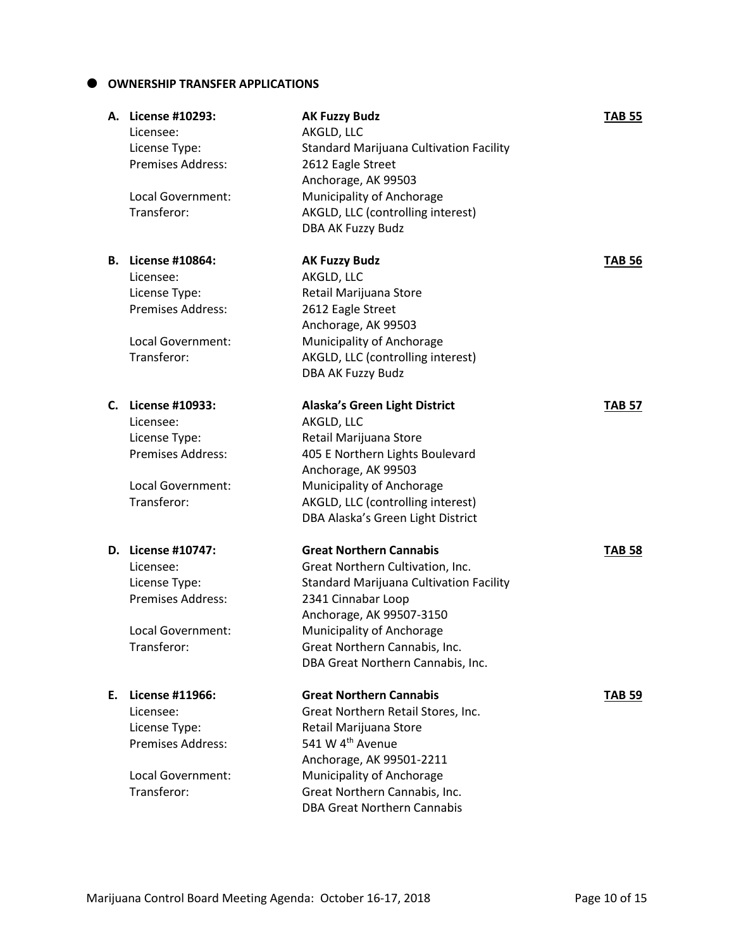#### **OWNERSHIP TRANSFER APPLICATIONS**

|    | A. License #10293:<br>Licensee:<br>License Type:<br><b>Premises Address:</b><br>Local Government:<br>Transferor:        | <b>AK Fuzzy Budz</b><br>AKGLD, LLC<br><b>Standard Marijuana Cultivation Facility</b><br>2612 Eagle Street<br>Anchorage, AK 99503<br>Municipality of Anchorage<br>AKGLD, LLC (controlling interest)<br>DBA AK Fuzzy Budz                                                   | <b>TAB 55</b> |
|----|-------------------------------------------------------------------------------------------------------------------------|---------------------------------------------------------------------------------------------------------------------------------------------------------------------------------------------------------------------------------------------------------------------------|---------------|
|    | <b>B.</b> License #10864:<br>Licensee:<br>License Type:<br><b>Premises Address:</b><br>Local Government:<br>Transferor: | <b>AK Fuzzy Budz</b><br>AKGLD, LLC<br>Retail Marijuana Store<br>2612 Eagle Street<br>Anchorage, AK 99503<br>Municipality of Anchorage<br>AKGLD, LLC (controlling interest)<br>DBA AK Fuzzy Budz                                                                           | <b>TAB 56</b> |
|    | C. License #10933:<br>Licensee:<br>License Type:<br><b>Premises Address:</b><br>Local Government:<br>Transferor:        | <b>Alaska's Green Light District</b><br>AKGLD, LLC<br>Retail Marijuana Store<br>405 E Northern Lights Boulevard<br>Anchorage, AK 99503<br>Municipality of Anchorage<br>AKGLD, LLC (controlling interest)<br>DBA Alaska's Green Light District                             | <b>TAB 57</b> |
|    | D. License #10747:<br>Licensee:<br>License Type:<br><b>Premises Address:</b><br>Local Government:<br>Transferor:        | <b>Great Northern Cannabis</b><br>Great Northern Cultivation, Inc.<br><b>Standard Marijuana Cultivation Facility</b><br>2341 Cinnabar Loop<br>Anchorage, AK 99507-3150<br>Municipality of Anchorage<br>Great Northern Cannabis, Inc.<br>DBA Great Northern Cannabis, Inc. | <b>TAB 58</b> |
| Е. | License #11966:<br>Licensee:<br>License Type:<br>Premises Address:<br>Local Government:<br>Transferor:                  | <b>Great Northern Cannabis</b><br>Great Northern Retail Stores, Inc.<br>Retail Marijuana Store<br>541 W 4 <sup>th</sup> Avenue<br>Anchorage, AK 99501-2211<br>Municipality of Anchorage<br>Great Northern Cannabis, Inc.<br><b>DBA Great Northern Cannabis</b>            | <b>TAB 59</b> |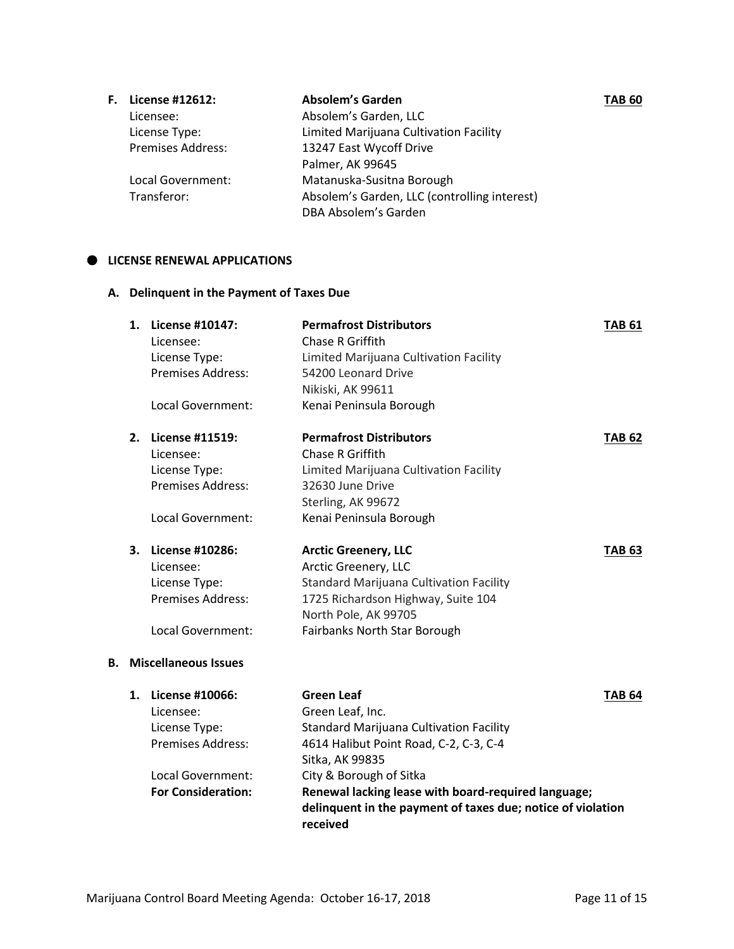| F. | License #12612:          | Absolem's Garden                             | TAB 60 |
|----|--------------------------|----------------------------------------------|--------|
|    | Licensee:                | Absolem's Garden, LLC                        |        |
|    | License Type:            | Limited Marijuana Cultivation Facility       |        |
|    | <b>Premises Address:</b> | 13247 East Wycoff Drive                      |        |
|    |                          | Palmer, AK 99645                             |        |
|    | Local Government:        | Matanuska-Susitna Borough                    |        |
|    | Transferor:              | Absolem's Garden, LLC (controlling interest) |        |
|    |                          | DBA Absolem's Garden                         |        |

#### $\bullet$  LICENSE RENEWAL APPLICATIONS

**A. Delinquent in the Payment of Taxes Due**

|    | 1. | <b>License #10147:</b><br>Licensee:<br>License Type: | <b>Permafrost Distributors</b><br>Chase R Griffith<br>Limited Marijuana Cultivation Facility | <b>TAB 61</b> |
|----|----|------------------------------------------------------|----------------------------------------------------------------------------------------------|---------------|
|    |    | Premises Address:                                    | 54200 Leonard Drive                                                                          |               |
|    |    |                                                      | Nikiski, AK 99611                                                                            |               |
|    |    | Local Government:                                    | Kenai Peninsula Borough                                                                      |               |
|    | 2. | License #11519:                                      | <b>Permafrost Distributors</b>                                                               | <b>TAB 62</b> |
|    |    | Licensee:                                            | Chase R Griffith                                                                             |               |
|    |    | License Type:                                        | Limited Marijuana Cultivation Facility                                                       |               |
|    |    | <b>Premises Address:</b>                             | 32630 June Drive                                                                             |               |
|    |    |                                                      | Sterling, AK 99672                                                                           |               |
|    |    | Local Government:                                    | Kenai Peninsula Borough                                                                      |               |
|    | 3. | License #10286:                                      | <b>Arctic Greenery, LLC</b>                                                                  | <b>TAB 63</b> |
|    |    | Licensee:                                            | Arctic Greenery, LLC                                                                         |               |
|    |    | License Type:                                        | <b>Standard Marijuana Cultivation Facility</b>                                               |               |
|    |    | <b>Premises Address:</b>                             | 1725 Richardson Highway, Suite 104                                                           |               |
|    |    |                                                      | North Pole, AK 99705                                                                         |               |
|    |    | Local Government:                                    | Fairbanks North Star Borough                                                                 |               |
| В. |    | <b>Miscellaneous Issues</b>                          |                                                                                              |               |
|    | 1. | License #10066:                                      | <b>Green Leaf</b>                                                                            | <b>TAB 64</b> |
|    |    | Licensee:                                            | Green Leaf, Inc.                                                                             |               |
|    |    | License Type:                                        | <b>Standard Marijuana Cultivation Facility</b>                                               |               |
|    |    | <b>Premises Address:</b>                             | 4614 Halibut Point Road, C-2, C-3, C-4                                                       |               |
|    |    |                                                      | Sitka, AK 99835                                                                              |               |
|    |    | Local Government:                                    | City & Borough of Sitka                                                                      |               |
|    |    | <b>For Consideration:</b>                            | Renewal lacking lease with board-required language;                                          |               |
|    |    |                                                      | delinquent in the payment of taxes due; notice of violation                                  |               |

**received**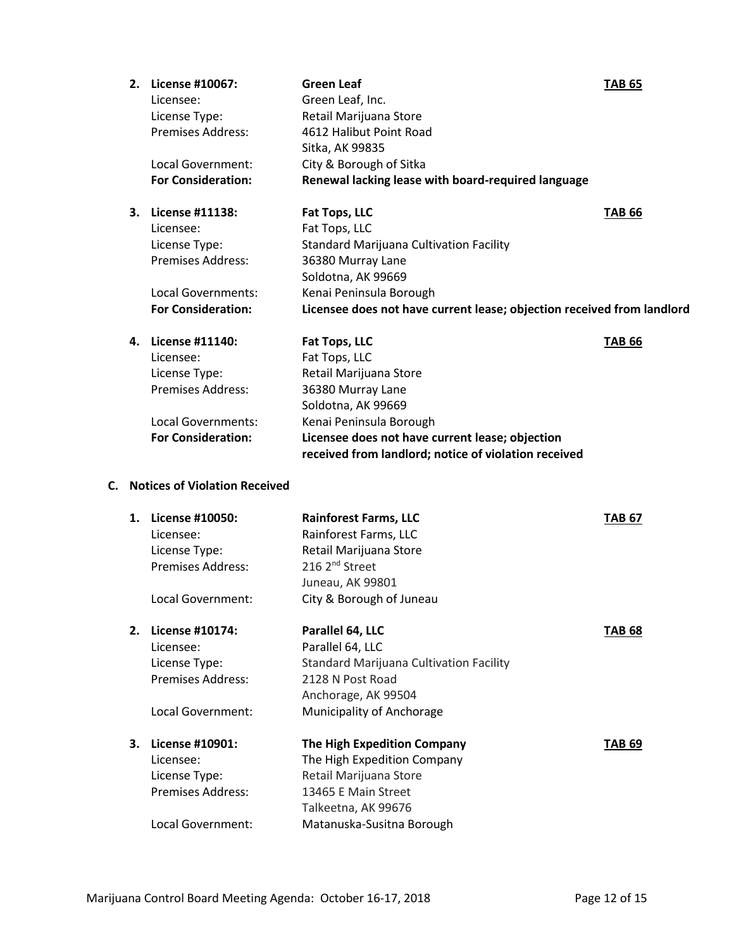| 2. | License #10067:           | <b>Green Leaf</b>                                                      | <b>TAB 65</b> |
|----|---------------------------|------------------------------------------------------------------------|---------------|
|    | Licensee:                 | Green Leaf, Inc.                                                       |               |
|    | License Type:             | Retail Marijuana Store                                                 |               |
|    | <b>Premises Address:</b>  | 4612 Halibut Point Road                                                |               |
|    |                           | Sitka, AK 99835                                                        |               |
|    | Local Government:         | City & Borough of Sitka                                                |               |
|    | <b>For Consideration:</b> | Renewal lacking lease with board-required language                     |               |
| 3. | License #11138:           | Fat Tops, LLC                                                          | <b>TAB 66</b> |
|    | Licensee:                 | Fat Tops, LLC                                                          |               |
|    | License Type:             | Standard Marijuana Cultivation Facility                                |               |
|    | <b>Premises Address:</b>  | 36380 Murray Lane                                                      |               |
|    |                           | Soldotna, AK 99669                                                     |               |
|    | Local Governments:        | Kenai Peninsula Borough                                                |               |
|    | <b>For Consideration:</b> | Licensee does not have current lease; objection received from landlord |               |
| 4. | License #11140:           | Fat Tops, LLC                                                          | <b>TAB 66</b> |
|    | Licensee:                 | Fat Tops, LLC                                                          |               |
|    | License Type:             | Retail Marijuana Store                                                 |               |
|    | <b>Premises Address:</b>  | 36380 Murray Lane                                                      |               |
|    |                           | Soldotna, AK 99669                                                     |               |
|    | <b>Local Governments:</b> | Kenai Peninsula Borough                                                |               |
|    | <b>For Consideration:</b> | Licensee does not have current lease; objection                        |               |
|    |                           | received from landlord; notice of violation received                   |               |

## **C. Notices of Violation Received**

| 1. | License #10050:          | <b>Rainforest Farms, LLC</b>                   | TAB 67 |
|----|--------------------------|------------------------------------------------|--------|
|    | Licensee:                | Rainforest Farms, LLC                          |        |
|    | License Type:            | Retail Marijuana Store                         |        |
|    | Premises Address:        | 216 2 <sup>nd</sup> Street                     |        |
|    |                          | Juneau, AK 99801                               |        |
|    | Local Government:        | City & Borough of Juneau                       |        |
| 2. | License #10174:          | Parallel 64, LLC                               | TAB 68 |
|    | Licensee:                | Parallel 64, LLC                               |        |
|    | License Type:            | <b>Standard Marijuana Cultivation Facility</b> |        |
|    | <b>Premises Address:</b> | 2128 N Post Road                               |        |
|    |                          | Anchorage, AK 99504                            |        |
|    | Local Government:        | Municipality of Anchorage                      |        |
| 3. | License #10901:          | <b>The High Expedition Company</b>             | TAB 69 |
|    | Licensee:                | The High Expedition Company                    |        |
|    | License Type:            | Retail Marijuana Store                         |        |
|    | <b>Premises Address:</b> | 13465 E Main Street                            |        |
|    |                          | Talkeetna, AK 99676                            |        |
|    | Local Government:        | Matanuska-Susitna Borough                      |        |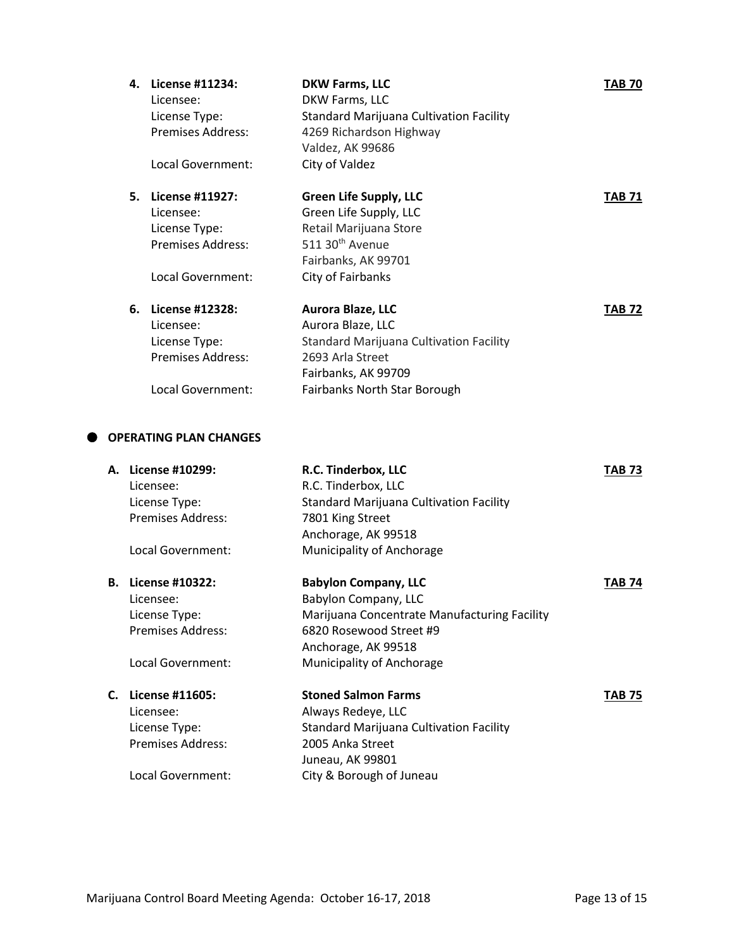| 4. | License #11234:<br>Licensee:<br>License Type:<br><b>Premises Address:</b>                             | <b>DKW Farms, LLC</b><br>DKW Farms, LLC<br>Standard Marijuana Cultivation Facility<br>4269 Richardson Highway<br>Valdez, AK 99686                                    | TAB 70        |
|----|-------------------------------------------------------------------------------------------------------|----------------------------------------------------------------------------------------------------------------------------------------------------------------------|---------------|
|    | Local Government:                                                                                     | City of Valdez                                                                                                                                                       |               |
| 5. | <b>License #11927:</b><br>Licensee:<br>License Type:<br><b>Premises Address:</b><br>Local Government: | <b>Green Life Supply, LLC</b><br>Green Life Supply, LLC<br>Retail Marijuana Store<br>511 30 <sup>th</sup> Avenue<br>Fairbanks, AK 99701<br>City of Fairbanks         | TAB 71        |
|    |                                                                                                       |                                                                                                                                                                      |               |
| 6. | License #12328:<br>Licensee:<br>License Type:<br>Premises Address:<br>Local Government:               | Aurora Blaze, LLC<br>Aurora Blaze, LLC<br><b>Standard Marijuana Cultivation Facility</b><br>2693 Arla Street<br>Fairbanks, AK 99709<br>Fairbanks North Star Borough  | <b>TAB 72</b> |
|    | PERATING PLAN CHANGES                                                                                 |                                                                                                                                                                      |               |
|    | License #10299:<br>Licensee:<br>License Type:<br><b>Premises Address:</b><br>Local Government:        | R.C. Tinderbox, LLC<br>R.C. Tinderbox, LLC<br><b>Standard Marijuana Cultivation Facility</b><br>7801 King Street<br>Anchorage, AK 99518<br>Municipality of Anchorage | <b>TAB 73</b> |
|    | $1!$ $110000$                                                                                         | Baladan Canadan HDC                                                                                                                                                  |               |

## **OP**

| А. | License #10299:          | R.C. Tinderbox, LLC                            | TAB 73        |
|----|--------------------------|------------------------------------------------|---------------|
|    | Licensee:                | R.C. Tinderbox, LLC                            |               |
|    | License Type:            | <b>Standard Marijuana Cultivation Facility</b> |               |
|    | Premises Address:        | 7801 King Street                               |               |
|    |                          | Anchorage, AK 99518                            |               |
|    | Local Government:        | Municipality of Anchorage                      |               |
| В. | License #10322:          | <b>Babylon Company, LLC</b>                    | <b>TAB 74</b> |
|    | Licensee:                | Babylon Company, LLC                           |               |
|    | License Type:            | Marijuana Concentrate Manufacturing Facility   |               |
|    | Premises Address:        | 6820 Rosewood Street #9                        |               |
|    |                          | Anchorage, AK 99518                            |               |
|    | Local Government:        | Municipality of Anchorage                      |               |
| C. | License #11605:          | <b>Stoned Salmon Farms</b>                     | TAB 75        |
|    | Licensee:                | Always Redeye, LLC                             |               |
|    | License Type:            | <b>Standard Marijuana Cultivation Facility</b> |               |
|    | <b>Premises Address:</b> | 2005 Anka Street                               |               |
|    |                          | Juneau, AK 99801                               |               |
|    | Local Government:        | City & Borough of Juneau                       |               |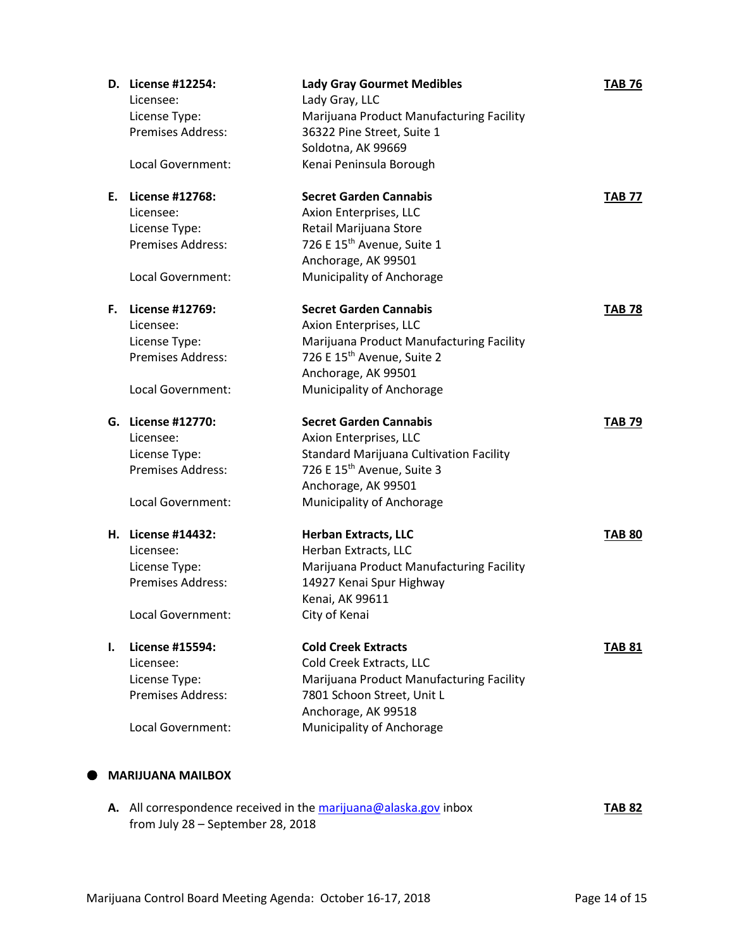|    | D. License #12254:       | <b>Lady Gray Gourmet Medibles</b>              | <b>TAB 76</b> |
|----|--------------------------|------------------------------------------------|---------------|
|    | Licensee:                | Lady Gray, LLC                                 |               |
|    | License Type:            | Marijuana Product Manufacturing Facility       |               |
|    | <b>Premises Address:</b> | 36322 Pine Street, Suite 1                     |               |
|    |                          | Soldotna, AK 99669                             |               |
|    | Local Government:        | Kenai Peninsula Borough                        |               |
| Е. | License #12768:          | <b>Secret Garden Cannabis</b>                  | <b>TAB 77</b> |
|    | Licensee:                | Axion Enterprises, LLC                         |               |
|    | License Type:            | Retail Marijuana Store                         |               |
|    | <b>Premises Address:</b> | 726 E 15 <sup>th</sup> Avenue, Suite 1         |               |
|    |                          | Anchorage, AK 99501                            |               |
|    | Local Government:        | Municipality of Anchorage                      |               |
| F. | License #12769:          | <b>Secret Garden Cannabis</b>                  | <b>TAB 78</b> |
|    | Licensee:                | Axion Enterprises, LLC                         |               |
|    | License Type:            | Marijuana Product Manufacturing Facility       |               |
|    | Premises Address:        | 726 E 15 <sup>th</sup> Avenue, Suite 2         |               |
|    |                          | Anchorage, AK 99501                            |               |
|    | Local Government:        | Municipality of Anchorage                      |               |
|    | G. License #12770:       | <b>Secret Garden Cannabis</b>                  | <b>TAB 79</b> |
|    | Licensee:                | Axion Enterprises, LLC                         |               |
|    | License Type:            | <b>Standard Marijuana Cultivation Facility</b> |               |
|    | Premises Address:        | 726 E 15 <sup>th</sup> Avenue, Suite 3         |               |
|    |                          | Anchorage, AK 99501                            |               |
|    | Local Government:        | Municipality of Anchorage                      |               |
|    | H. License #14432:       | <b>Herban Extracts, LLC</b>                    | <b>TAB 80</b> |
|    | Licensee:                | Herban Extracts, LLC                           |               |
|    | License Type:            | Marijuana Product Manufacturing Facility       |               |
|    | <b>Premises Address:</b> | 14927 Kenai Spur Highway                       |               |
|    |                          | Kenai, AK 99611                                |               |
|    | Local Government:        | City of Kenai                                  |               |
| ı. | License #15594:          | <b>Cold Creek Extracts</b>                     | <b>TAB 81</b> |
|    | Licensee:                | Cold Creek Extracts, LLC                       |               |
|    | License Type:            | Marijuana Product Manufacturing Facility       |               |
|    | Premises Address:        | 7801 Schoon Street, Unit L                     |               |
|    |                          | Anchorage, AK 99518                            |               |
|    |                          | Municipality of Anchorage                      |               |

**A.** All correspondence received in th[e marijuana@alaska.gov](mailto:marijuana@alaska.gov) inbox **TAB 82** from July 28 – September 28, 2018